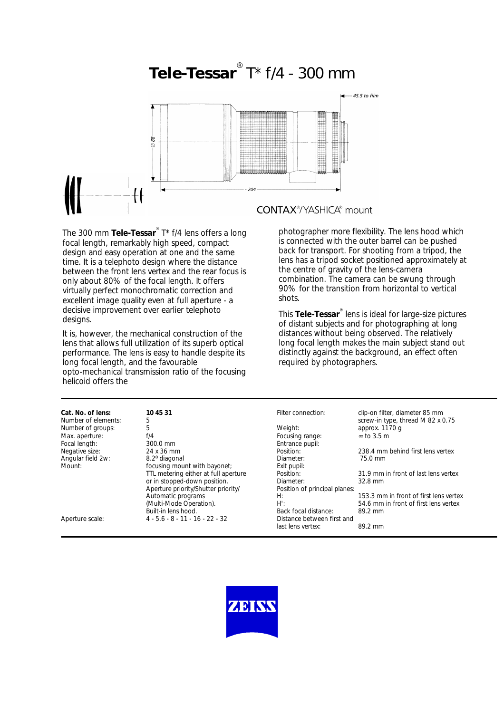

The 300 mm **Tele-Tessar**® T\* f/4 lens offers a long focal length, remarkably high speed, compact design and easy operation at one and the same time. It is a telephoto design where the distance between the front lens vertex and the rear focus is only about 80% of the focal length. It offers virtually perfect monochromatic correction and excellent image quality even at full aperture - a decisive improvement over earlier telephoto designs.

It is, however, the mechanical construction of the lens that allows full utilization of its superb optical performance. The lens is easy to handle despite its long focal length, and the favourable opto-mechanical transmission ratio of the focusing helicoid offers the

photographer more flexibility. The lens hood which is connected with the outer barrel can be pushed back for transport. For shooting from a tripod, the lens has a tripod socket positioned approximately at the centre of gravity of the lens-camera combination. The camera can be swung through 90% for the transition from horizontal to vertical shots.

This **Tele-Tessar**® lens is ideal for large-size pictures of distant subjects and for photographing at long distances without being observed. The relatively long focal length makes the main subject stand out distinctly against the background, an effect often required by photographers.

| Cat. No. of lens:   | 10 45 31                             | Filter connection:            | clip-on filter, diameter 85 mm         |
|---------------------|--------------------------------------|-------------------------------|----------------------------------------|
| Number of elements: | 5                                    |                               | screw-in type, thread M 82 x 0.75      |
| Number of groups:   | 5                                    | Weight:                       | approx. $1170q$                        |
| Max. aperture:      | f/4                                  | Focusing range:               | $\infty$ to 3.5 m                      |
| Focal length:       | 300.0 mm                             | Entrance pupil:               |                                        |
| Negative size:      | 24 x 36 mm                           | Position:                     | 238.4 mm behind first lens vertex      |
| Angular field 2w:   | 8.2º diagonal                        | Diameter:                     | 75.0 mm                                |
| Mount:              | focusing mount with bayonet;         | Exit pupil:                   |                                        |
|                     | TTL metering either at full aperture | Position:                     | 31.9 mm in front of last lens vertex   |
|                     | or in stopped-down position.         | Diameter:                     | $32.8$ mm                              |
|                     | Aperture priority/Shutter priority/  | Position of principal planes: |                                        |
|                     | Automatic programs                   | H:                            | 153.3 mm in front of first lens vertex |
|                     | (Multi-Mode Operation).              | $H^{\prime}$ :                | 54.6 mm in front of first lens vertex  |
|                     | Built-in lens hood.                  | Back focal distance:          | 89.2 mm                                |
| Aperture scale:     | $4 - 5.6 - 8 - 11 - 16 - 22 - 32$    | Distance between first and    |                                        |
|                     |                                      | last lens vertex:             | 89.2 mm                                |